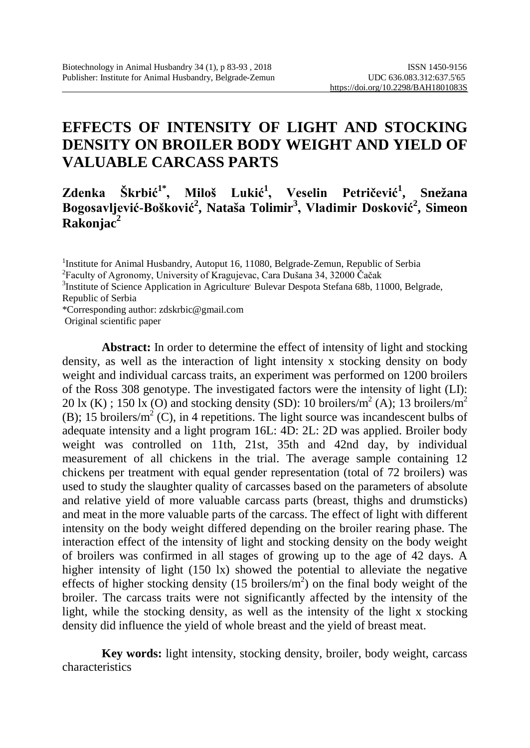# **EFFECTS OF INTENSITY OF LIGHT AND STOCKING DENSITY ON BROILER BODY WEIGHT AND YIELD OF VALUABLE CARCASS PARTS**

### **Zdenka Škrbić1\*, Miloš Lukić<sup>1</sup> , Veselin Petričević<sup>1</sup> , Snežana Bogosavljević-Bošković<sup>2</sup> , Nataša Tolimir3 , Vladimir Dosković<sup>2</sup> , Simeon Rakonjac2**

<sup>1</sup>Institute for Animal Husbandry, Autoput 16, 11080, Belgrade-Zemun, Republic of Serbia<br><sup>2</sup>Eaculty of Agronomy, University of Kragujevac, Cara Dušana 34, 32000 Čačak

<sup>3</sup>Institute of Science Application in Agriculture' Bulevar Despota Stefana 68b, 11000, Belgrade, Republic of Serbia

\*Corresponding author: zdskrbic@gmail.com

Original scientific paper

**Abstract:** In order to determine the effect of intensity of light and stocking density, as well as the interaction of light intensity x stocking density on body weight and individual carcass traits, an experiment was performed on 1200 broilers of the Ross 308 genotype. The investigated factors were the intensity of light (LI): 20 lx (K) : 150 lx (O) and stocking density (SD): 10 broilers/m<sup>2</sup> (A): 13 broilers/m<sup>2</sup> (B); 15 broilers/ $m^2$  (C), in 4 repetitions. The light source was incandescent bulbs of adequate intensity and a light program 16L: 4D: 2L: 2D was applied. Broiler body weight was controlled on 11th, 21st, 35th and 42nd day, by individual measurement of all chickens in the trial. The average sample containing 12 chickens per treatment with equal gender representation (total of 72 broilers) was used to study the slaughter quality of carcasses based on the parameters of absolute and relative yield of more valuable carcass parts (breast, thighs and drumsticks) and meat in the more valuable parts of the carcass. The effect of light with different intensity on the body weight differed depending on the broiler rearing phase. The interaction effect of the intensity of light and stocking density on the body weight of broilers was confirmed in all stages of growing up to the age of 42 days. A higher intensity of light (150 lx) showed the potential to alleviate the negative effects of higher stocking density  $(15 \text{ broilers/m}^2)$  on the final body weight of the broiler. The carcass traits were not significantly affected by the intensity of the light, while the stocking density, as well as the intensity of the light x stocking density did influence the yield of whole breast and the yield of breast meat.

**Key words:** light intensity, stocking density, broiler, body weight, carcass characteristics

Faculty of Agronomy, University of Kragujevac, Cara Dušana 34, 32000 Čačak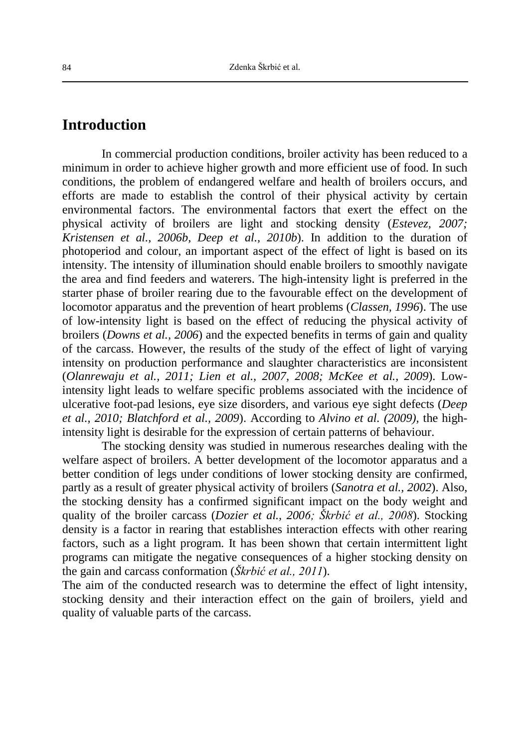## **Introduction**

In commercial production conditions, broiler activity has been reduced to a minimum in order to achieve higher growth and more efficient use of food. In such conditions, the problem of endangered welfare and health of broilers occurs, and efforts are made to establish the control of their physical activity by certain environmental factors. The environmental factors that exert the effect on the physical activity of broilers are light and stocking density (*Estevez, 2007; Kristensen et al., 2006b, Deep et al., 2010b*). In addition to the duration of photoperiod and colour, an important aspect of the effect of light is based on its intensity. The intensity of illumination should enable broilers to smoothly navigate the area and find feeders and waterers. The high-intensity light is preferred in the starter phase of broiler rearing due to the favourable effect on the development of locomotor apparatus and the prevention of heart problems (*Classen, 1996*). The use of low-intensity light is based on the effect of reducing the physical activity of broilers (*Downs et al., 2006*) and the expected benefits in terms of gain and quality of the carcass. However, the results of the study of the effect of light of varying intensity on production performance and slaughter characteristics are inconsistent (*Olanrewaju et al., 2011; Lien et al., 2007, 2008; McKee et al., 2009*). Lowintensity light leads to welfare specific problems associated with the incidence of ulcerative foot-pad lesions, eye size disorders, and various eye sight defects (*Deep et al., 2010; Blatchford et al., 2009*). According to *Alvino et al. (2009),* the highintensity light is desirable for the expression of certain patterns of behaviour.

The stocking density was studied in numerous researches dealing with the welfare aspect of broilers. A better development of the locomotor apparatus and a better condition of legs under conditions of lower stocking density are confirmed, partly as a result of greater physical activity of broilers (*Sanotra et al., 2002*). Also, the stocking density has a confirmed significant impact on the body weight and quality of the broiler carcass (*Dozier et al., 2006; Škrbić et al., 2008*). Stocking density is a factor in rearing that establishes interaction effects with other rearing factors, such as a light program. It has been shown that certain intermittent light programs can mitigate the negative consequences of a higher stocking density on the gain and carcass conformation (*Škrbić et al., 2011*).

The aim of the conducted research was to determine the effect of light intensity, stocking density and their interaction effect on the gain of broilers, yield and quality of valuable parts of the carcass.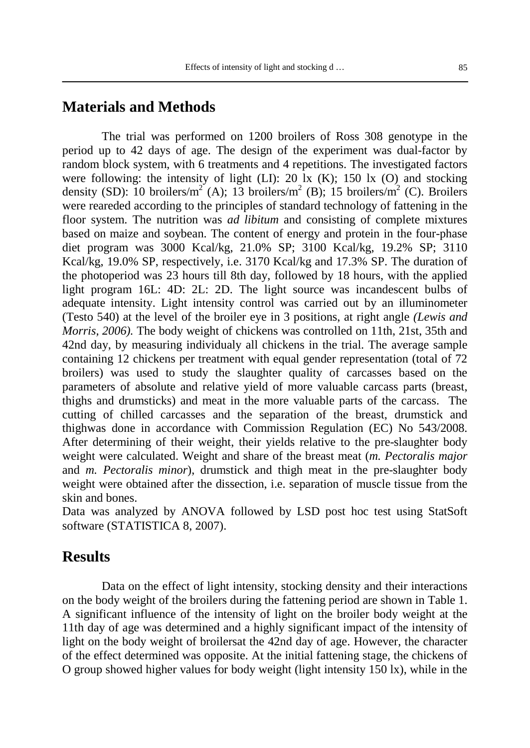#### **Materials and Methods**

The trial was performed on 1200 broilers of Ross 308 genotype in the period up to 42 days of age. The design of the experiment was dual-factor by random block system, with 6 treatments and 4 repetitions. The investigated factors were following: the intensity of light (LI): 20 lx (K); 150 lx (O) and stocking density (SD): 10 broilers/m<sup>2</sup> (A); 13 broilers/m<sup>2</sup> (B); 15 broilers/m<sup>2</sup> (C). Broilers were reareded according to the principles of standard technology of fattening in the floor system. The nutrition was *ad libitum* and consisting of complete mixtures based on maize and soybean. The content of energy and protein in the four-phase diet program was 3000 Kcal/kg, 21.0% SP; 3100 Kcal/kg, 19.2% SP; 3110 Kcal/kg, 19.0% SP, respectively, i.e. 3170 Kcal/kg and 17.3% SP. The duration of the photoperiod was 23 hours till 8th day, followed by 18 hours, with the applied light program 16L: 4D: 2L: 2D. The light source was incandescent bulbs of adequate intensity. Light intensity control was carried out by an illuminometer (Testo 540) at the level of the broiler eye in 3 positions, at right angle *(Lewis and Morris, 2006).* The body weight of chickens was controlled on 11th, 21st, 35th and 42nd day, by measuring individualy all chickens in the trial. The average sample containing 12 chickens per treatment with equal gender representation (total of 72 broilers) was used to study the slaughter quality of carcasses based on the parameters of absolute and relative yield of more valuable carcass parts (breast, thighs and drumsticks) and meat in the more valuable parts of the carcass. The cutting of chilled carcasses and the separation of the breast, drumstick and thighwas done in accordance with Commission Regulation (EC) No 543/2008. After determining of their weight, their yields relative to the pre-slaughter body weight were calculated. Weight and share of the breast meat (*m. Pectoralis major* and *m. Pectoralis minor*), drumstick and thigh meat in the pre-slaughter body weight were obtained after the dissection, i.e. separation of muscle tissue from the skin and bones.

Data was analyzed by ANOVA followed by LSD post hoc test using StatSoft software (STATISTICA 8, 2007).

### **Results**

Data on the effect of light intensity, stocking density and their interactions on the body weight of the broilers during the fattening period are shown in Table 1. A significant influence of the intensity of light on the broiler body weight at the 11th day of age was determined and a highly significant impact of the intensity of light on the body weight of broilersat the 42nd day of age. However, the character of the effect determined was opposite. At the initial fattening stage, the chickens of O group showed higher values for body weight (light intensity 150 lx), while in the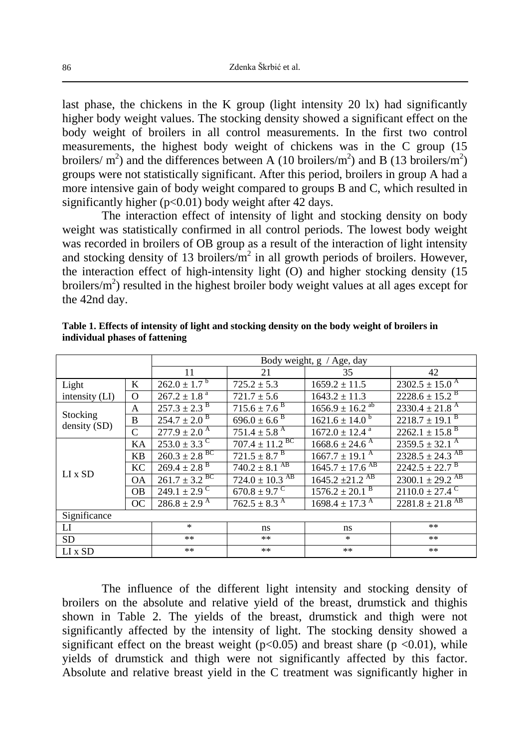last phase, the chickens in the K group (light intensity  $20 \text{ lx}$ ) had significantly higher body weight values. The stocking density showed a significant effect on the body weight of broilers in all control measurements. In the first two control measurements, the highest body weight of chickens was in the C group (15 broilers/ $m^2$ ) and the differences between A (10 broilers/ $m^2$ ) and B (13 broilers/ $m^2$ ) groups were not statistically significant. After this period, broilers in group A had a more intensive gain of body weight compared to groups B and C, which resulted in significantly higher  $(p<0.01)$  body weight after 42 days.

The interaction effect of intensity of light and stocking density on body weight was statistically confirmed in all control periods. The lowest body weight was recorded in broilers of OB group as a result of the interaction of light intensity and stocking density of 13 broilers/ $m^2$  in all growth periods of broilers. However, the interaction effect of high-intensity light (O) and higher stocking density (15 broilers/ $m<sup>2</sup>$ ) resulted in the highest broiler body weight values at all ages except for the 42nd day.

|                          |               | Body weight, g / Age, day     |                                |                                 |                                 |  |
|--------------------------|---------------|-------------------------------|--------------------------------|---------------------------------|---------------------------------|--|
|                          |               | 11                            | 21                             | 35                              | 42                              |  |
| Light                    | K             | $262.0 \pm 1.7^{b}$           | $725.2 \pm 5.3$                | $1659.2 \pm 11.5$               | $2302.5 \pm 15.0$ <sup>A</sup>  |  |
| intensity (LI)           | $\Omega$      | $267.2 \pm 1.8$ <sup>a</sup>  | $721.7 \pm 5.6$                | $1643.2 \pm 11.3$               | $2228.6 \pm 15.2$ <sup>B</sup>  |  |
| Stocking<br>density (SD) | A             | $257.3 \pm 2.3$ <sup>B</sup>  | $715.6 \pm 7.6$ <sup>B</sup>   | $1656.9 \pm 16.2$ <sup>ab</sup> | $2330.4 \pm 21.8$ <sup>A</sup>  |  |
|                          | B             | $254.7 \pm 2.0$ <sup>B</sup>  | $696.0 \pm 6.6$ <sup>B</sup>   | $1621.6 \pm 14.0^{\circ}$       | $2218.7 \pm 19.1$ <sup>B</sup>  |  |
|                          | $\mathcal{C}$ | $277.9 \pm 2.0^{\text{A}}$    | $751.4 \pm 5.8$ <sup>A</sup>   | $1672.0 \pm 12.4$ <sup>a</sup>  | $2262.1 \pm 15.8$ <sup>B</sup>  |  |
| $LI \times SD$           | KA            | $253.0 \pm 3.3$ <sup>C</sup>  | $707.4 \pm 11.2$ <sup>BC</sup> | $1668.6 \pm 24.6$ <sup>A</sup>  | $2359.5 \pm 32.1$ <sup>A</sup>  |  |
|                          | <b>KB</b>     | $260.3 \pm 2.8$ <sup>BC</sup> | $721.5 \pm 8.7$ <sup>B</sup>   | $1667.7 \pm 19.1$ <sup>A</sup>  | $2328.5 \pm 24.3$ <sup>AB</sup> |  |
|                          | KC            | $269.4 \pm 2.8$ <sup>B</sup>  | $740.2 \pm 8.1$ <sup>AB</sup>  | $1645.7 \pm 17.6$ <sup>AB</sup> | $2242.5 \pm 22.7$ <sup>B</sup>  |  |
|                          | <b>OA</b>     | $261.7 \pm 3.2$ <sup>BC</sup> | $724.0 \pm 10.3$ <sup>AB</sup> | $1645.2 \pm 21.2$ <sup>AB</sup> | $2300.1 \pm 29.2$ <sup>AB</sup> |  |
|                          | <b>OB</b>     | $249.1 \pm 2.9$ <sup>C</sup>  | $670.8 \pm 9.7$ <sup>C</sup>   | $1576.2 \pm 20.1$ <sup>B</sup>  | $2110.0 \pm 27.4$ <sup>C</sup>  |  |
|                          | OC            | $286.8 \pm 2.9$ <sup>A</sup>  | $762.5 \pm 8.3$ <sup>A</sup>   | $1698.4 \pm 17.3$ <sup>A</sup>  | $2281.8 \pm 21.8$ <sup>AB</sup> |  |
| Significance             |               |                               |                                |                                 |                                 |  |
| LI                       |               | $\ast$                        | ns                             | ns                              | $**$                            |  |
| <b>SD</b>                |               | **                            | $***$                          | $\ast$                          | $**$                            |  |
| $LI \times SD$           |               | $***$                         | $***$                          | $***$                           | $**$                            |  |

**Table 1. Effects of intensity of light and stocking density on the body weight of broilers in individual phases of fattening**

The influence of the different light intensity and stocking density of broilers on the absolute and relative yield of the breast, drumstick and thighis shown in Table 2. The yields of the breast, drumstick and thigh were not significantly affected by the intensity of light. The stocking density showed a significant effect on the breast weight ( $p<0.05$ ) and breast share ( $p < 0.01$ ), while yields of drumstick and thigh were not significantly affected by this factor. Absolute and relative breast yield in the C treatment was significantly higher in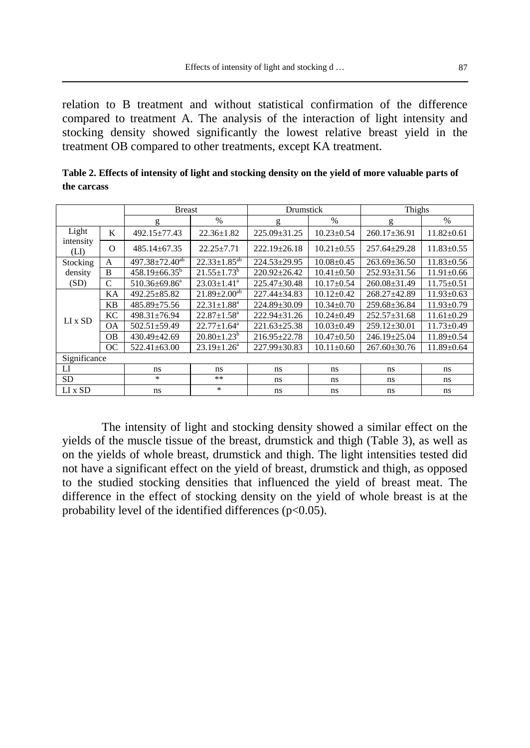relation to B treatment and without statistical confirmation of the difference compared to treatment A. The analysis of the interaction of light intensity and stocking density showed significantly the lowest relative breast yield in the treatment OB compared to other treatments, except KA treatment.

|                             |           | <b>Breast</b>                    |                               | Drumstick          |                  | Thighs             |                  |
|-----------------------------|-----------|----------------------------------|-------------------------------|--------------------|------------------|--------------------|------------------|
|                             |           | g                                | $\frac{0}{0}$                 | g                  | $\frac{0}{0}$    | g                  | $\frac{0}{0}$    |
| Light<br>intensity<br>(LI)  | K         | 492.15+77.43                     | $22.36 \pm 1.82$              | $225.09 + 31.25$   | $10.23 \pm 0.54$ | $260.17 \pm 36.91$ | $11.82 \pm 0.61$ |
|                             | $\Omega$  | $485.14 \pm 67.35$               | $22.25 \pm 7.71$              | $222.19 \pm 26.18$ | $10.21 \pm 0.55$ | $257.64 \pm 29.28$ | $11.83 \pm 0.55$ |
| Stocking<br>density<br>(SD) | A         | $497.38 \pm 72.40$ <sup>ab</sup> | $22.33 \pm 1.85^{ab}$         | $224.53 \pm 29.95$ | $10.08 \pm 0.45$ | $263.69 \pm 36.50$ | $11.83 \pm 0.56$ |
|                             | B         | $458.19 \pm 66.35^{\circ}$       | $21.55 \pm 1.73^b$            | $220.92 \pm 26.42$ | $10.41 \pm 0.50$ | $252.93 \pm 31.56$ | $11.91 \pm 0.66$ |
|                             | C         | $510.36\pm69.86^a$               | $23.03 \pm 1.41$ <sup>a</sup> | $225.47 + 30.48$   | $10.17 \pm 0.54$ | $260.08 \pm 31.49$ | $11.75 \pm 0.51$ |
| LI x SD                     | KA        | $492.25 \pm 85.82$               | $21.89 \pm 2.00^{ab}$         | $227.44 + 34.83$   | $10.12 \pm 0.42$ | 268.27±42.89       | $11.93 \pm 0.63$ |
|                             | KB.       | 485.89±75.56                     | $22.31 \pm 1.88^a$            | 224.89±30.09       | $10.34 \pm 0.70$ | 259.68±36.84       | $11.93 \pm 0.79$ |
|                             | KC        | $498.31 \pm 76.94$               | $22.87 + 1.58^a$              | $222.94 + 31.26$   | $10.24 + 0.49$   | $252.57 \pm 31.68$ | $11.61 \pm 0.29$ |
|                             | <b>OA</b> | $502.51 \pm 59.49$               | $22.77 \pm 1.64^a$            | $221.63 \pm 25.38$ | $10.03 \pm 0.49$ | $259.12 \pm 30.01$ | $11.73 \pm 0.49$ |
|                             | <b>OB</b> | 430.49±42.69                     | $20.80 \pm 1.23^b$            | $216.95 \pm 22.78$ | $10.47 + 0.50$   | $246.19 \pm 25.04$ | $11.89 \pm 0.54$ |
|                             | OC        | $522.41 \pm 63.00$               | $23.19 + 1.26^a$              | 227.99±30.83       | $10.11 \pm 0.60$ | $267.60 \pm 30.76$ | $11.89 \pm 0.64$ |
| Significance                |           |                                  |                               |                    |                  |                    |                  |
| $_{\rm LI}$                 |           | ns                               | ns                            | ns                 | ns               | ns.                | ns               |
| <b>SD</b>                   |           | *                                | **                            | ns                 | ns               | ns.                | ns               |
| $LI \times SD$              |           | ns                               | *                             | ns.                | ns               | ns                 | ns               |

**Table 2. Effects of intensity of light and stocking density on the yield of more valuable parts of the carcass** 

The intensity of light and stocking density showed a similar effect on the yields of the muscle tissue of the breast, drumstick and thigh (Table 3), as well as on the yields of whole breast, drumstick and thigh. The light intensities tested did not have a significant effect on the yield of breast, drumstick and thigh, as opposed to the studied stocking densities that influenced the yield of breast meat. The difference in the effect of stocking density on the yield of whole breast is at the probability level of the identified differences (p<0.05).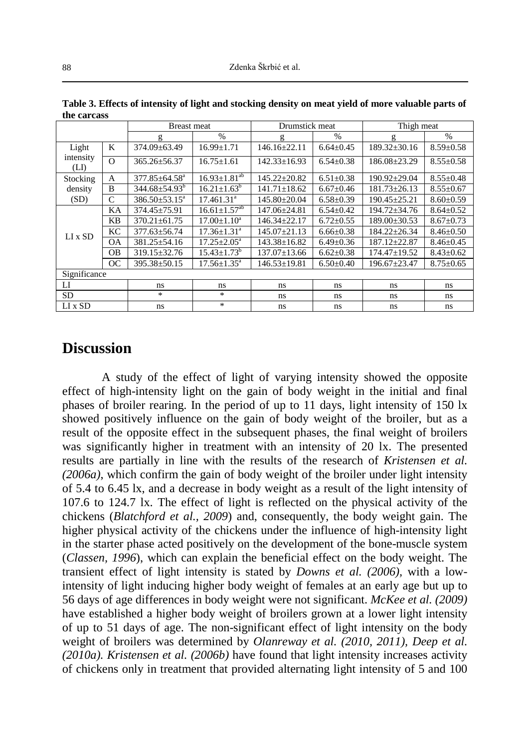|                             |                | <b>Breast meat</b>         |                                | Drumstick meat     |                 | Thigh meat         |                 |
|-----------------------------|----------------|----------------------------|--------------------------------|--------------------|-----------------|--------------------|-----------------|
|                             |                | g                          | $\frac{0}{0}$                  | g                  | $\frac{0}{0}$   | g                  | $\frac{0}{0}$   |
| Light<br>intensity<br>(LI)  | K              | 374.09±63.49               | $16.99 \pm 1.71$               | $146.16 + 22.11$   | $6.64 \pm 0.45$ | $189.32 \pm 30.16$ | $8.59 \pm 0.58$ |
|                             | $\Omega$       | $365.26 \pm 56.37$         | $16.75 \pm 1.61$               | $142.33 \pm 16.93$ | $6.54 \pm 0.38$ | $186.08 \pm 23.29$ | $8.55 \pm 0.58$ |
| Stocking<br>density<br>(SD) | $\mathsf{A}$   | $377.85 \pm 64.58^{\circ}$ | $16.93 \pm 1.81^{ab}$          | $145.22 \pm 20.82$ | $6.51 \pm 0.38$ | $190.92 \pm 29.04$ | $8.55 \pm 0.48$ |
|                             | $\overline{B}$ | $344.68 \pm 54.93^b$       | $16.21 \pm 1.63^b$             | $141.71 \pm 18.62$ | $6.67 \pm 0.46$ | $181.73 \pm 26.13$ | $8.55 \pm 0.67$ |
|                             | $\mathcal{C}$  | $386.50 \pm 53.15^a$       | 17.461.31 <sup>a</sup>         | $145.80 \pm 20.04$ | $6.58 \pm 0.39$ | $190.45 \pm 25.21$ | $8.60 \pm 0.59$ |
| $LI \times SD$              | KA             | 374.45±75.91               | $16.61 \pm 1.57$ <sup>ab</sup> | 147.06±24.81       | $6.54 \pm 0.42$ | 194.72±34.76       | $8.64 \pm 0.52$ |
|                             | KB             | $370.21 \pm 61.75$         | $17.00 \pm 1.10^a$             | $146.34 + 22.17$   | $6.72 \pm 0.55$ | $189.00 \pm 30.53$ | $8.67 \pm 0.73$ |
|                             | KC             | 377.63±56.74               | $17.36 + 1.31a$                | $145.07 + 21.13$   | $6.66 \pm 0.38$ | $184.22 + 26.34$   | $8.46 \pm 0.50$ |
|                             | <b>OA</b>      | $381.25 \pm 54.16$         | $17.25 \pm 2.05^{\text{a}}$    | $143.38 \pm 16.82$ | $6.49 \pm 0.36$ | $187.12 \pm 22.87$ | $8.46 \pm 0.45$ |
|                             | <b>OB</b>      | $319.15 \pm 32.76$         | $15.43 \pm 1.73^b$             | $137.07 \pm 13.66$ | $6.62 \pm 0.38$ | $174.47 \pm 19.52$ | $8.43 \pm 0.62$ |
|                             | OC             | 395.38±50.15               | $17.56 \pm 1.35^{\circ}$       | $146.53 \pm 19.81$ | $6.50 \pm 0.40$ | $196.67 \pm 23.47$ | $8.75 \pm 0.65$ |
| Significance                |                |                            |                                |                    |                 |                    |                 |
| LI                          |                | ns                         | ns                             | ns                 | ns.             | ns.                | ns.             |
| SD.                         |                | *                          | *                              | ns                 | ns              | ns                 | ns              |
| $LI \times SD$              |                | ns                         | *                              | ns                 | ns              | ns                 | ns              |

**Table 3. Effects of intensity of light and stocking density on meat yield of more valuable parts of the carcass**

#### **Discussion**

A study of the effect of light of varying intensity showed the opposite effect of high-intensity light on the gain of body weight in the initial and final phases of broiler rearing. In the period of up to 11 days, light intensity of 150 lx showed positively influence on the gain of body weight of the broiler, but as a result of the opposite effect in the subsequent phases, the final weight of broilers was significantly higher in treatment with an intensity of 20 lx. The presented results are partially in line with the results of the research of *Kristensen et al. (2006a)*, which confirm the gain of body weight of the broiler under light intensity of 5.4 to 6.45 lx, and a decrease in body weight as a result of the light intensity of 107.6 to 124.7 lx. The effect of light is reflected on the physical activity of the chickens (*Blatchford et al., 2009*) and, consequently, the body weight gain. The higher physical activity of the chickens under the influence of high-intensity light in the starter phase acted positively on the development of the bone-muscle system (*Classen, 1996*), which can explain the beneficial effect on the body weight. The transient effect of light intensity is stated by *Downs et al. (2006),* with a lowintensity of light inducing higher body weight of females at an early age but up to 56 days of age differences in body weight were not significant. *McKee et al. (2009)* have established a higher body weight of broilers grown at a lower light intensity of up to 51 days of age. The non-significant effect of light intensity on the body weight of broilers was determined by *Olanreway et al. (2010, 2011), Deep et al. (2010a). Kristensen et al. (2006b)* have found that light intensity increases activity of chickens only in treatment that provided alternating light intensity of 5 and 100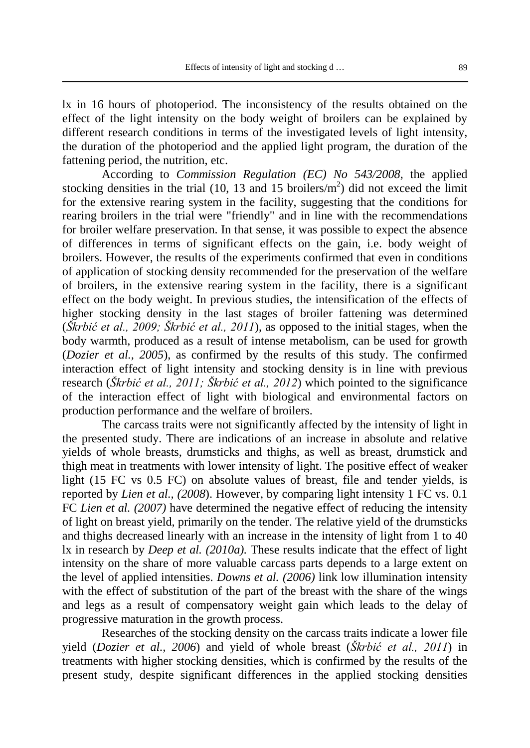lx in 16 hours of photoperiod. The inconsistency of the results obtained on the effect of the light intensity on the body weight of broilers can be explained by different research conditions in terms of the investigated levels of light intensity, the duration of the photoperiod and the applied light program, the duration of the fattening period, the nutrition, etc.

According to *Commission Regulation (EC) No 543/2008*, the applied stocking densities in the trial  $(10, 13 \text{ and } 15 \text{ broilers/m}^2)$  did not exceed the limit for the extensive rearing system in the facility, suggesting that the conditions for rearing broilers in the trial were "friendly" and in line with the recommendations for broiler welfare preservation. In that sense, it was possible to expect the absence of differences in terms of significant effects on the gain, i.e. body weight of broilers. However, the results of the experiments confirmed that even in conditions of application of stocking density recommended for the preservation of the welfare of broilers, in the extensive rearing system in the facility, there is a significant effect on the body weight. In previous studies, the intensification of the effects of higher stocking density in the last stages of broiler fattening was determined (*Škrbić et al., 2009; Škrbić et al., 2011*), as opposed to the initial stages, when the body warmth, produced as a result of intense metabolism, can be used for growth (*Dozier et al., 2005*), as confirmed by the results of this study. The confirmed interaction effect of light intensity and stocking density is in line with previous research (*Škrbić et al., 2011; Škrbić et al., 2012*) which pointed to the significance of the interaction effect of light with biological and environmental factors on production performance and the welfare of broilers.

The carcass traits were not significantly affected by the intensity of light in the presented study. There are indications of an increase in absolute and relative yields of whole breasts, drumsticks and thighs, as well as breast, drumstick and thigh meat in treatments with lower intensity of light. The positive effect of weaker light (15 FC vs 0.5 FC) on absolute values of breast, file and tender yields, is reported by *Lien et al., (2008*). However, by comparing light intensity 1 FC vs. 0.1 FC *Lien et al. (2007)* have determined the negative effect of reducing the intensity of light on breast yield, primarily on the tender. The relative yield of the drumsticks and thighs decreased linearly with an increase in the intensity of light from 1 to 40 lx in research by *Deep et al. (2010a).* These results indicate that the effect of light intensity on the share of more valuable carcass parts depends to a large extent on the level of applied intensities. *Downs et al. (2006)* link low illumination intensity with the effect of substitution of the part of the breast with the share of the wings and legs as a result of compensatory weight gain which leads to the delay of progressive maturation in the growth process.

Researches of the stocking density on the carcass traits indicate a lower file yield (*Dozier et al., 2006*) and yield of whole breast (*Škrbić et al., 2011*) in treatments with higher stocking densities, which is confirmed by the results of the present study, despite significant differences in the applied stocking densities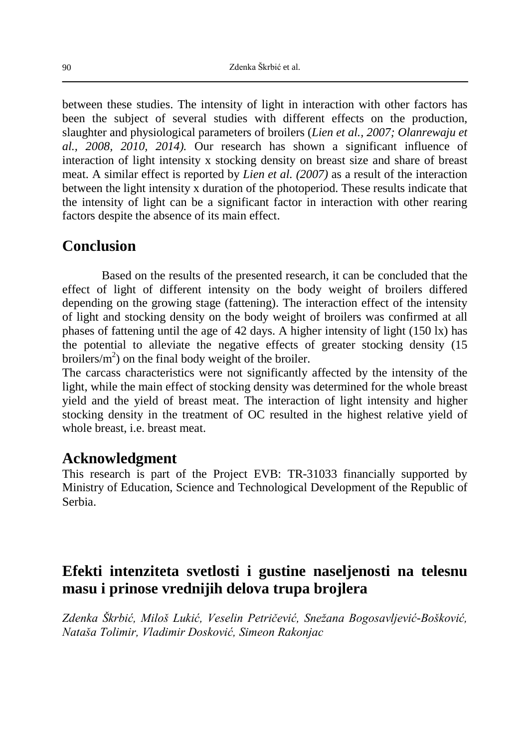between these studies. The intensity of light in interaction with other factors has been the subject of several studies with different effects on the production, slaughter and physiological parameters of broilers (*Lien et al., 2007; Olanrewaju et al., 2008, 2010, 2014).* Our research has shown a significant influence of interaction of light intensity x stocking density on breast size and share of breast meat. A similar effect is reported by *Lien et al. (2007)* as a result of the interaction between the light intensity x duration of the photoperiod. These results indicate that the intensity of light can be a significant factor in interaction with other rearing factors despite the absence of its main effect.

## **Conclusion**

Based on the results of the presented research, it can be concluded that the effect of light of different intensity on the body weight of broilers differed depending on the growing stage (fattening). The interaction effect of the intensity of light and stocking density on the body weight of broilers was confirmed at all phases of fattening until the age of 42 days. A higher intensity of light (150 lx) has the potential to alleviate the negative effects of greater stocking density (15 broilers/ $m<sup>2</sup>$ ) on the final body weight of the broiler.

The carcass characteristics were not significantly affected by the intensity of the light, while the main effect of stocking density was determined for the whole breast yield and the yield of breast meat. The interaction of light intensity and higher stocking density in the treatment of OC resulted in the highest relative yield of whole breast, i.e. breast meat.

## **Acknowledgment**

This research is part of the Project EVB: TR-31033 financially supported by Ministry of Education, Science and Technological Development of the Republic of Serbia.

# **Efekti intenziteta svetlosti i gustine naseljenosti na telesnu masu i prinose vrednijih delova trupa brojlera**

*Zdenka Škrbić, Miloš Lukić, Veselin Petričević, Snežana Bogosavljević-Bošković, Nataša Tolimir, Vladimir Dosković, Simeon Rakonjac*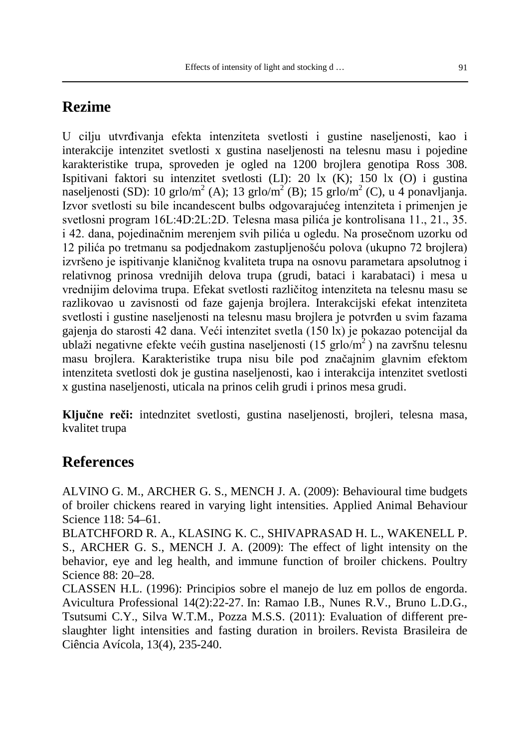# **Rezime**

U cilju utvrđivanja efekta intenziteta svetlosti i gustine naseljenosti, kao i interakcije intenzitet svetlosti x gustina naseljenosti na telesnu masu i pojedine karakteristike trupa, sproveden je ogled na 1200 brojlera genotipa Ross 308. Ispitivani faktori su intenzitet svetlosti (LI): 20 lx (K); 150 lx (O) i gustina naseljenosti (SD): 10 grlo/m<sup>2</sup> (A); 13 grlo/m<sup>2</sup> (B); 15 grlo/m<sup>2</sup> (C), u 4 ponavljanja. Izvor svetlosti su bile incandescent bulbs odgovarajućeg intenziteta i primenjen je svetlosni program 16L:4D:2L:2D. Telesna masa pilića je kontrolisana 11., 21., 35. i 42. dana, pojedinačnim merenjem svih pilića u ogledu. Na prosečnom uzorku od 12 pilića po tretmanu sa podjednakom zastupljenošću polova (ukupno 72 brojlera) izvršeno je ispitivanje klaničnog kvaliteta trupa na osnovu parametara apsolutnog i relativnog prinosa vrednijih delova trupa (grudi, bataci i karabataci) i mesa u vrednijim delovima trupa. Efekat svetlosti različitog intenziteta na telesnu masu se razlikovao u zavisnosti od faze gajenja brojlera. Interakcijski efekat intenziteta svetlosti i gustine naseljenosti na telesnu masu brojlera je potvrđen u svim fazama gajenja do starosti 42 dana. Veći intenzitet svetla (150 lx) je pokazao potencijal da ublaži negativne efekte većih gustina naseljenosti (15 grlo/m2 ) na završnu telesnu masu brojlera. Karakteristike trupa nisu bile pod značajnim glavnim efektom intenziteta svetlosti dok je gustina naseljenosti, kao i interakcija intenzitet svetlosti x gustina naseljenosti, uticala na prinos celih grudi i prinos mesa grudi.

**Ključne reči:** intednzitet svetlosti, gustina naseljenosti, brojleri, telesna masa, kvalitet trupa

# **References**

ALVINO G. M., ARCHER G. S., MENCH J. A. (2009): Behavioural time budgets of broiler chickens reared in varying light intensities. Applied Animal Behaviour Science 118: 54–61.

BLATCHFORD R. A., KLASING K. C., SHIVAPRASAD H. L., WAKENELL P. S., ARCHER G. S., MENCH J. A. (2009): The effect of light intensity on the behavior, eye and leg health, and immune function of broiler chickens. Poultry Science 88: 20–28.

CLASSEN H.L. (1996): Principios sobre el manejo de luz em pollos de engorda. Avicultura Professional 14(2):22-27. In: Ramao I.B., Nunes R.V., Bruno L.D.G., Tsutsumi C.Y., Silva W.T.M., Pozza M.S.S. (2011): Evaluation of different preslaughter light intensities and fasting duration in broilers. Revista Brasileira de Ciência Avícola, 13(4), 235-240.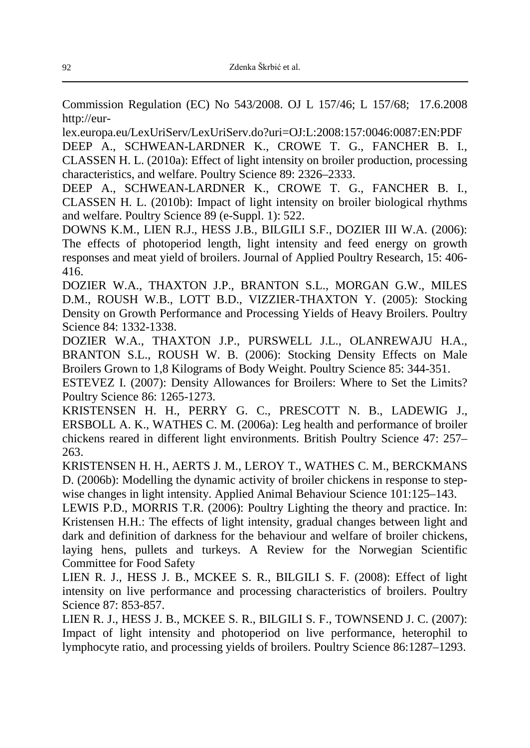Commission Regulation (EC) No 543/2008. OJ L 157/46; L 157/68; 17.6.2008 http://eur-

lex.europa.eu/LexUriServ/LexUriServ.do?uri=OJ:L:2008:157:0046:0087:EN:PDF DEEP A., SCHWEAN-LARDNER K., CROWE T. G., FANCHER B. I., CLASSEN H. L. (2010a): Effect of light intensity on broiler production, processing characteristics, and welfare. Poultry Science 89: 2326–2333.

DEEP A., SCHWEAN-LARDNER K., CROWE T. G., FANCHER B. I., CLASSEN H. L. (2010b): Impact of light intensity on broiler biological rhythms and welfare. Poultry Science 89 (e-Suppl. 1): 522.

DOWNS K.M., LIEN R.J., HESS J.B., BILGILI S.F., DOZIER III W.A. (2006): The effects of photoperiod length, light intensity and feed energy on growth responses and meat yield of broilers. Journal of Applied Poultry Research, 15: 406- 416.

DOZIER W.A., THAXTON J.P., BRANTON S.L., MORGAN G.W., MILES D.M., ROUSH W.B., LOTT B.D., VIZZIER-THAXTON Y. (2005): Stocking Density on Growth Performance and Processing Yields of Heavy Broilers. Poultry Science 84: 1332-1338.

DOZIER W.A., THAXTON J.P., PURSWELL J.L., OLANREWAJU H.A., BRANTON S.L., ROUSH W. B. (2006): Stocking Density Effects on Male Broilers Grown to 1,8 Kilograms of Body Weight. Poultry Science 85: 344-351.

ESTEVEZ I. (2007): Density Allowances for Broilers: Where to Set the Limits? Poultry Science 86: 1265-1273.

KRISTENSEN H. H., PERRY G. C., PRESCOTT N. B., LADEWIG J., ERSBOLL A. K., WATHES C. M. (2006a): Leg health and performance of broiler chickens reared in different light environments. British Poultry Science 47: 257– 263.

KRISTENSEN H. H., AERTS J. M., LEROY T., WATHES C. M., BERCKMANS D. (2006b): Modelling the dynamic activity of broiler chickens in response to stepwise changes in light intensity. Applied Animal Behaviour Science 101:125–143.

LEWIS P.D., MORRIS T.R. (2006): Poultry Lighting the theory and practice. In: Kristensen H.H.: The effects of light intensity, gradual changes between light and dark and definition of darkness for the behaviour and welfare of broiler chickens, laying hens, pullets and turkeys. A Review for the Norwegian Scientific Committee for Food Safety

LIEN R. J., HESS J. B., MCKEE S. R., BILGILI S. F. (2008): Effect of light intensity on live performance and processing characteristics of broilers. Poultry Science 87: 853-857.

LIEN R. J., HESS J. B., MCKEE S. R., BILGILI S. F., TOWNSEND J. C. (2007): Impact of light intensity and photoperiod on live performance, heterophil to lymphocyte ratio, and processing yields of broilers. Poultry Science 86:1287–1293.